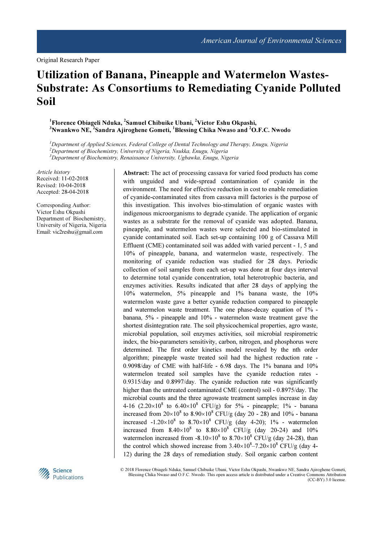Original Research Paper

# Utilization of Banana, Pineapple and Watermelon Wastes-Substrate: As Consortiums to Remediating Cyanide Polluted Soil

<sup>1</sup>Florence Obiageli Nduka, <sup>2</sup>Samuel Chibuike Ubani, <sup>2</sup>Victor Eshu Okpashi, <sup>3</sup>Nwankwo NE, <sup>2</sup>Sandra Ajiroghene Gometi, <sup>1</sup>Blessing Chika Nwaso and <sup>2</sup>O.F.C. Nwodo

 ${}^{1}$ Department of Applied Sciences, Federal College of Dental Technology and Therapy, Enugu, Nigeria <sup>2</sup>Department of Biochemistry, University of Nigeria, Nsukka, Enugu, Nigeria  $3D$ epartment of Biochemistry, Renaissance University, Ugbawka, Enugu, Nigeria

Article history Received: 11-02-2018 Revised: 10-04-2018 Accepted: 28-04-2018

Corresponding Author: Victor Eshu Okpashi Department of Biochemistry, University of Nigeria, Nigeria Email: vic2reshu@gmail.com

wastes as a substrate for the removal of cyanide was adopted. Banana, pineapple, and watermelon wastes were selected and bio-stimulated in cyanide contaminated soil. Each set-up containing 100 g of Cassava Mill Effluent (CME) contaminated soil was added with varied percent - 1, 5 and 10% of pineapple, banana, and watermelon waste, respectively. The monitoring of cyanide reduction was studied for 28 days. Periodic collection of soil samples from each set-up was done at four days interval to determine total cyanide concentration, total heterotrophic bacteria, and enzymes activities. Results indicated that after 28 days of applying the 10% watermelon, 5% pineapple and 1% banana waste, the 10% watermelon waste gave a better cyanide reduction compared to pineapple and watermelon waste treatment. The one phase-decay equation of 1% banana, 5% - pineapple and 10% - watermelon waste treatment gave the shortest disintegration rate. The soil physicochemical properties, agro waste, microbial population, soil enzymes activities, soil microbial respirometric index, the bio-parameters sensitivity, carbon, nitrogen, and phosphorus were determined. The first order kinetics model revealed by the nth order algorithm; pineapple waste treated soil had the highest reduction rate - 0.9098/day of CME with half-life - 6.98 days. The 1% banana and 10% watermelon treated soil samples have the cyanide reduction rates - 0.9315/day and 0.8997/day. The cyanide reduction rate was significantly higher than the untreated contaminated CME (control) soil - 0.8975/day. The microbial counts and the three agrowaste treatment samples increase in day 4-16  $(2.20 \times 10^8$  to  $6.40 \times 10^8$  CFU/g) for 5% - pineapple; 1% - banana increased from  $20 \times 10^8$  to  $8.90 \times 10^8$  CFU/g (day 20 - 28) and 10% - banana increased  $-1.20\times10^8$  to  $8.70\times10^8$  CFU/g (day 4-20); 1% - watermelon increased from  $8.40 \times 10^8$  to  $8.80 \times 10^8$  CFU/g (day 20-24) and 10% watermelon increased from  $-8.10 \times 10^8$  to  $8.70 \times 10^8$  CFU/g (day 24-28), than the control which showed increase from  $3.40\times10^{8}-7.20\times10^{8}$  CFU/g (day 4-12) during the 28 days of remediation study. Soil organic carbon content

Abstract: The act of processing cassava for varied food products has come with unguided and wide-spread contamination of cyanide in the environment. The need for effective reduction in cost to enable remediation of cyanide-contaminated sites from cassava mill factories is the purpose of this investigation. This involves bio-stimulation of organic wastes with indigenous microorganisms to degrade cyanide. The application of organic



© 2018 Florence Obiageli Nduka, Samuel Chibuike Ubani, Victor Eshu Okpashi, Nwankwo NE, Sandra Ajiroghene Gometi, Blessing Chika Nwaso and O.F.C. Nwodo. This open access article is distributed under a Creative Commons Attribution (CC-BY) 3.0 license.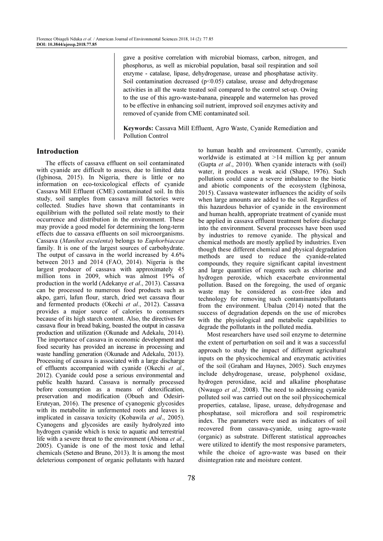gave a positive correlation with microbial biomass, carbon, nitrogen, and phosphorus, as well as microbial population, basal soil respiration and soil enzyme - catalase, lipase, dehydrogenase, urease and phosphatase activity. Soil contamination decreased  $(p<0.05)$  catalase, urease and dehydrogenase activities in all the waste treated soil compared to the control set-up. Owing to the use of this agro-waste-banana, pineapple and watermelon has proved to be effective in enhancing soil nutrient, improved soil enzymes activity and removed of cyanide from CME contaminated soil.

Keywords: Cassava Mill Effluent, Agro Waste, Cyanide Remediation and Pollution Control

# Introduction

The effects of cassava effluent on soil contaminated with cyanide are difficult to assess, due to limited data (Igbinosa, 2015). In Nigeria, there is little or no information on eco-toxicological effects of cyanide Cassava Mill Effluent (CME) contaminated soil. In this study, soil samples from cassava mill factories were collected. Studies have shown that contaminants in equilibrium with the polluted soil relate mostly to their occurrence and distribution in the environment. These may provide a good model for determining the long-term effects due to cassava effluents on soil microorganisms. Cassava (Manihot esculenta) belongs to Euphorbiaceae family. It is one of the largest sources of carbohydrate. The output of cassava in the world increased by 4.6% between 2013 and 2014 (FAO, 2014). Nigeria is the largest producer of cassava with approximately 45 million tons in 2009, which was almost 19% of production in the world (Adekanye et al., 2013). Cassava can be processed to numerous food products such as akpo, garri, lafun flour, starch, dried wet cassava flour and fermented products (Okechi et al., 2012). Cassava provides a major source of calories to consumers because of its high starch content. Also, the directives for cassava flour in bread baking, boasted the output in cassava production and utilization (Okunade and Adekalu, 2014). The importance of cassava in economic development and food security has provided an increase in processing and waste handling generation (Okunade and Adekalu, 2013). Processing of cassava is associated with a large discharge of effluents accompanied with cyanide (Okechi et al., 2012). Cyanide could pose a serious environmental and public health hazard. Cassava is normally processed before consumption as a means of detoxification, preservation and modification (Obueh and Odesiri-Eruteyan, 2016). The presence of cyanogenic glycosides with its metabolite in unfermented roots and leaves is implicated in cassava toxicity (Kobawila et al., 2005). Cyanogens and glycosides are easily hydrolyzed into hydrogen cyanide which is toxic to aquatic and terrestrial life with a severe threat to the environment (Abiona et al., 2005). Cyanide is one of the most toxic and lethal chemicals (Seteno and Bruno, 2013). It is among the most deleterious component of organic pollutants with hazard

to human health and environment. Currently, cyanide worldwide is estimated at >14 million kg per annum (Gupta et al., 2010). When cyanide interacts with (soil) water, it produces a weak acid (Shape, 1976). Such pollutions could cause a severe imbalance to the biotic and abiotic components of the ecosystem (Igbinosa, 2015). Cassava wastewater influences the acidity of soils when large amounts are added to the soil. Regardless of this hazardous behavior of cyanide in the environment and human health, appropriate treatment of cyanide must be applied in cassava effluent treatment before discharge into the environment. Several processes have been used by industries to remove cyanide. The physical and chemical methods are mostly applied by industries. Even though these different chemical and physical degradation methods are used to reduce the cyanide-related compounds, they require significant capital investment and large quantities of reagents such as chlorine and hydrogen peroxide, which exacerbate environmental pollution. Based on the foregoing, the used of organic waste may be considered as cost-free idea and technology for removing such contaminants/pollutants from the environment. Ubalua (2014) noted that the success of degradation depends on the use of microbes with the physiological and metabolic capabilities to degrade the pollutants in the polluted media.

Most researchers have used soil enzyme to determine the extent of perturbation on soil and it was a successful approach to study the impact of different agricultural inputs on the physicochemical and enzymatic activities of the soil (Graham and Haynes, 2005). Such enzymes include dehydrogenase, urease, polyphenol oxidase, hydrogen peroxidase, acid and alkaline phosphatase (Nwaugo et al., 2008). The need to addressing cyanide polluted soil was carried out on the soil physicochemical properties, catalase, lipase, urease, dehydrogenase and phosphatase, soil microflora and soil respirometric index. The parameters were used as indicators of soil recovered from cassava-cyanide, using agro-waste (organic) as substrate. Different statistical approaches were utilized to identify the most responsive parameters, while the choice of agro-waste was based on their disintegration rate and moisture content.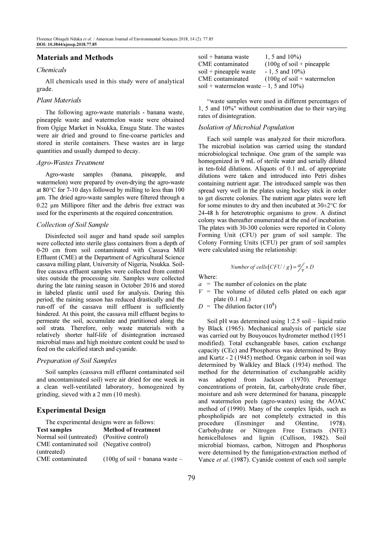## Materials and Methods

#### Chemicals

All chemicals used in this study were of analytical grade.

#### Plant Materials

The following agro-waste materials - banana waste, pineapple waste and watermelon waste were obtained from Ogige Market in Nsukka, Enugu State. The wastes were air dried and ground to fine-coarse particles and stored in sterile containers. These wastes are in large quantities and usually dumped to decay.

#### Agro-Wastes Treatment

Agro-waste samples (banana, pineapple, and watermelon) were prepared by oven-drying the agro-waste at 80°C for 7-10 days followed by milling to less than 100 µm. The dried agro-waste samples were filtered through a 0.22 µm Millipore filter and the debris free extract was used for the experiments at the required concentration.

#### Collection of Soil Sample

Disinfected soil auger and hand spade soil samples were collected into sterile glass containers from a depth of 0-20 cm from soil contaminated with Cassava Mill Effluent (CME) at the Department of Agricultural Science cassava milling plant, University of Nigeria, Nsukka. Soilfree cassava effluent samples were collected from control sites outside the processing site. Samples were collected during the late raining season in October 2016 and stored in labeled plastic until used for analysis. During this period, the raining season has reduced drastically and the run-off of the cassava mill effluent is sufficiently hindered. At this point, the cassava mill effluent begins to permeate the soil, accumulate and partitioned along the soil strata. Therefore, only waste materials with a relatively shorter half-life of disintegration increased microbial mass and high moisture content could be used to feed on the calcified starch and cyanide.

## Preparation of Soil Samples

Soil samples (cassava mill effluent contaminated soil and uncontaminated soil) were air dried for one week in a clean well-ventilated laboratory, homogenized by grinding, sieved with a 2 mm (10 mesh).

# Experimental Design

| The experimental designs were as follows:  |                                                 |  |  |  |
|--------------------------------------------|-------------------------------------------------|--|--|--|
| <b>Test samples</b>                        | <b>Method of treatment</b>                      |  |  |  |
| Normal soil (untreated) (Positive control) |                                                 |  |  |  |
| CME contaminated soil (Negative control)   |                                                 |  |  |  |
| (untreated)                                |                                                 |  |  |  |
| CME contaminated                           | $(100g \text{ of soil} + \text{banana waste} -$ |  |  |  |

| soil + banana waste                       | 1, 5 and $10\%$ )                            |
|-------------------------------------------|----------------------------------------------|
| CME contaminated                          | $(100g \text{ of soil} + \text{pineapple})$  |
| $soil + pineapple waste$                  | $-1, 5$ and $10\%$ )                         |
| CME contaminated                          | $(100g \text{ of soil} + \text{watermelon})$ |
| soil + watermelon waste $-1$ , 5 and 10%) |                                              |

"waste samples were used in different percentages of 1, 5 and 10%" without combination due to their varying rates of disintegration.

## Isolation of Microbial Population

Each soil sample was analyzed for their microflora. The microbial isolation was carried using the standard microbiological technique. One gram of the sample was homogenized in 9 mL of sterile water and serially diluted in ten-fold dilutions. Aliquots of 0.1 mL of appropriate dilutions were taken and introduced into Petri dishes containing nutrient agar. The introduced sample was then spread very well in the plates using hockey stick in order to get discrete colonies. The nutrient agar plates were left for some minutes to dry and then incubated at  $30\pm2\degree C$  for 24-48 h for heterotrophic organisms to grow. A distinct colony was thereafter enumerated at the end of incubation. The plates with 30-300 colonies were reported in Colony Forming Unit (CFU) per gram of soil sample. The Colony Forming Units (CFU) per gram of soil samples were calculated using the relationship:

Number of cells (CFU / g) = 
$$
\frac{a}{v} \times D
$$

Where:

- $a =$ The number of colonies on the plate
- $V =$ The volume of diluted cells plated on each agar plate (0.1 mL)
- $D =$ The dilution factor (10<sup>8</sup>)

Soil pH was determined using 1:2.5 soil – liquid ratio by Black (1965). Mechanical analysis of particle size was carried out by Bouyoucos hydrometer method (1951 modified). Total exchangeable bases, cation exchange capacity (CEc) and Phosphorus was determined by Bray and Kurtz - 2 (1945) method. Organic carbon in soil was determined by Walkley and Black (1934) method. The method for the determination of exchangeable acidity was adopted from Jackson (1970). Percentage concentrations of protein, fat, carbohydrate crude fiber, moisture and ash were determined for banana, pineapple and watermelon peels (agro-wastes) using the AOAC method of (1990). Many of the complex lipids, such as phospholipids are not completely extracted in this procedure (Ensminger and Olentine, 1978). Carbohydrate or Nitrogen Free Extracts (NFE) hemicelluloses and lignin (Cullison, 1982). Soil microbial biomass, carbon, Nitrogen and Phosphorus were determined by the fumigation-extraction method of Vance et al. (1987). Cyanide content of each soil sample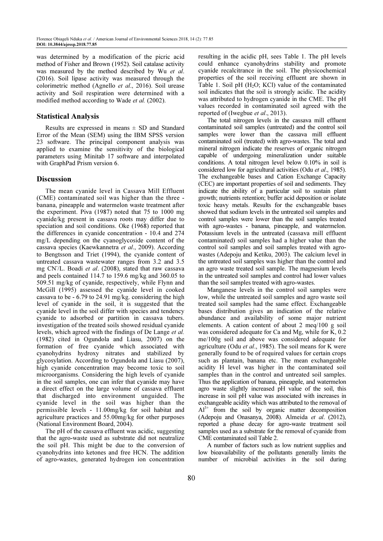was determined by a modification of the picric acid method of Fisher and Brown (1952). Soil catalase activity was measured by the method described by Wu et al. (2016). Soil lipase activity was measured through the colorimetric method (Agnello et al., 2016). Soil urease activity and Soil respiration were determined with a modified method according to Wade et al. (2002).

## Statistical Analysis

Results are expressed in means  $\pm$  SD and Standard Error of the Mean (SEM) using the IBM SPSS version 23 software. The principal component analysis was applied to examine the sensitivity of the biological parameters using Minitab 17 software and interpolated with GraphPad Prism version 6.

## Discussion

The mean cyanide level in Cassava Mill Effluent (CME) contaminated soil was higher than the three banana, pineapple and watermelon waste treatment after the experiment. Piva (1987) noted that 75 to 1000 mg cyanide/kg present in cassava roots may differ due to speciation and soil conditions. Oke (1968) reported that the differences in cyanide concentration - 10.4 and 274 mg/L depending on the cyanoglycoside content of the cassava species (Kaewkannetra et al., 2009). According to Bengtsson and Triet (1994), the cyanide content of untreated cassava wastewater ranges from 3.2 and 3.5 maximum cases where there energies from our and one of  $m$  cases of  $m$  cases of  $m$  cases of  $m$  cases of  $m$  cases of  $m$  cases of  $m$  cases of  $m$  cases of  $m$  cases of  $m$  cases of  $m$  cases of  $m$  cases of  $m$  cases and peels contained 114.7 to 159.6 mg/kg and 360.05 to 509.51 mg/kg of cyanide, respectively, while Flynn and McGill (1995) assessed the cyanide level in cooked cassava to be - 6.79 to 24.91 mg/kg. considering the high level of cyanide in the soil, it is suggested that the cyanide level in the soil differ with species and tendency cyanide to adsorbed or partition in cassava tubers. investigation of the treated soils showed residual cyanide levels, which agreed with the findings of De Lange et al. (1982) cited in Ogundola and Liasu, 2007) on the formation of free cyanide which associated with cyanohydrins hydroxy nitrates and stabilized by glycosylation. According to Ogundola and Liasu (2007), high cyanide concentration may become toxic to soil microorganisms. Considering the high levels of cyanide in the soil samples, one can infer that cyanide may have a direct effect on the large volume of cassava effluent that discharged into environment unguided. The cyanide level in the soil was higher than the permissible levels - 11.00mg/kg for soil habitat and agriculture practices and 55.00mg/kg for other purposes (National Environment Board, 2004).

The pH of the cassava effluent was acidic, suggesting that the agro-waste used as substrate did not neutralize the soil pH. This might be due to the conversion of cyanohydrins into ketones and free HCN. The addition of agro-wastes, generated hydrogen ion concentration

resulting in the acidic pH, sees Table 1. The pH levels could enhance cyanohydrins stability and promote cyanide recalcitrance in the soil. The physicochemical properties of the soil receiving effluent are shown in Table 1. Soil pH  $(H<sub>2</sub>O; KCl)$  value of the contaminated soil indicates that the soil is strongly acidic. The acidity was attributed to hydrogen cyanide in the CME. The pH values recorded in contaminated soil agreed with the reported of (Iwegbue *et al.*, 2013).

The total nitrogen levels in the cassava mill effluent contaminated soil samples (untreated) and the control soil samples were lower than the cassava mill effluent contaminated soil (treated) with agro-wastes. The total and mineral nitrogen indicate the reserves of organic nitrogen capable of undergoing mineralization under suitable conditions. A total nitrogen level below 0.10% in soil is considered low for agricultural activities (Odu et al., 1985). The exchangeable bases and Cation Exchange Capacity (CEC) are important properties of soil and sediments. They indicate the ability of a particular soil to sustain plant growth; nutrients retention; buffer acid deposition or isolate toxic heavy metals. Results for the exchangeable bases showed that sodium levels in the untreated soil samples and control samples were lower than the soil samples treated with agro-wastes - banana, pineapple, and watermelon. Potassium levels in the untreated (cassava mill effluent contaminated) soil samples had a higher value than the control soil samples and soil samples treated with agrowastes (Adepoju and Ketiku, 2003). The calcium level in the untreated soil samples was higher than the control and an agro waste treated soil sample. The magnesium levels in the untreated soil samples and control had lower values than the soil samples treated with agro-wastes.

Manganese levels in the control soil samples were low, while the untreated soil samples and agro waste soil treated soil samples had the same effect. Exchangeable bases distribution gives an indication of the relative abundance and availability of some major nutrient elements. A cation content of about 2 meq/100 g soil was considered adequate for Ca and Mg, while for K, 0.2 me/100g soil and above was considered adequate for agriculture (Odu et al., 1985). The soil means for K were generally found to be of required values for certain crops such as plantain, banana etc. The mean exchangeable acidity H level was higher in the contaminated soil samples than in the control and untreated soil samples. Thus the application of banana, pineapple, and watermelon agro waste slightly increased pH value of the soil, this increase in soil pH value was associated with increases in exchangeable acidity which was attributed to the removal of  $Al^{3+}$  from the soil by organic matter decomposition (Adepoju and Onasanya, 2008). Almeida et al. (2012), reported a phase decay for agro-waste treatment soil samples used as a substrate for the removal of cyanide from CME contaminated soil Table 2.

A number of factors such as low nutrient supplies and low bioavailability of the pollutants generally limits the number of microbial activities in the soil during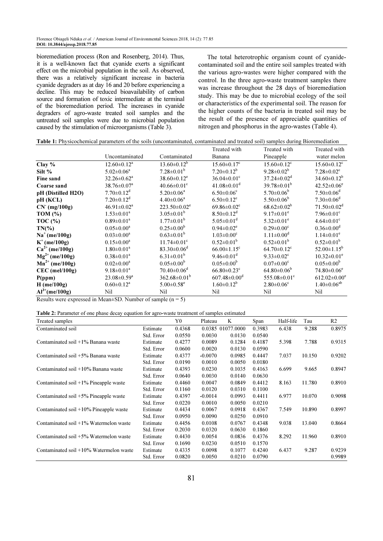bioremediation process (Ron and Rosenberg, 2014). Thus, it is a well-known fact that cyanide exerts a significant effect on the microbial population in the soil. As observed, there was a relatively significant increase in bacteria cyanide degraders as at day 16 and 20 before experiencing a decline. This may be reduced bioavailability of carbon source and formation of toxic intermediate at the terminal of the bioremediation period. The increases in cyanide degraders of agro-waste treated soil samples and the untreated soil samples were due to microbial population caused by the stimulation of microorganisms (Table 3).

The total heterotrophic organism count of cyanidecontaminated soil and the entire soil samples treated with the various agro-wastes were higher compared with the control. In the three agro-waste treatment samples there was increase throughout the 28 days of bioremediation study. This may be due to microbial ecology of the soil or characteristics of the experimental soil. The reason for the higher counts of the bacteria in treated soil may be the result of the presence of appreciable quantities of nitrogen and phosphorus in the agro-wastes (Table 4).

|  | <b>Table 1:</b> Physicochemical parameters of the soils (uncontaminated, contaminated and treated soil) samples during Bioremediation |  |
|--|---------------------------------------------------------------------------------------------------------------------------------------|--|
|  |                                                                                                                                       |  |

|                     |                                                                 |                                | Treated with                   | Treated with                   | Treated with                   |
|---------------------|-----------------------------------------------------------------|--------------------------------|--------------------------------|--------------------------------|--------------------------------|
|                     | Uncontaminated                                                  | Contaminated                   | Banana                         | Pineapple                      | water melon                    |
| Clay $%$            | $12.60 \pm 0.12^a$                                              | $13.60 \pm 0.12^b$             | $15.60 \pm 0.17$ <sup>c</sup>  | $15.60 \pm 0.12$ <sup>c</sup>  | $15.60 \pm 0.12$ <sup>c</sup>  |
| Silt $%$            | $5.02 \pm 0.06^a$                                               | $7.28 \pm 0.01^b$              | $7.20 \pm 0.12^b$              | $9.28 \pm 0.02^b$              | $7.28 \pm 0.02$ <sup>c</sup>   |
| Fine sand           | $32.26 \pm 0.62^{\text{a}}$                                     | $38.60 \pm 0.12$ <sup>e</sup>  | $36.04 \pm 0.01$ <sup>c</sup>  | $37.24 \pm 0.02^d$             | $34.60 \pm 0.12^b$             |
| Coarse sand         | $38.76 \pm 0.07$ <sup>a</sup>                                   | $40.66 \pm 0.01$ <sup>c</sup>  | $41.08 \pm 0.01$ <sup>d</sup>  | $39.78 \pm 0.01^b$             | $42.52 \pm 0.06$ <sup>e</sup>  |
| pH (Distilled H2O)  | $7.70 \pm 0.12$ <sup>d</sup>                                    | $5.20 \pm 0.06^a$              | $6.50 \pm 0.06$ <sup>c</sup>   | $5.70 \pm 0.06^b$              | $7.50 \pm 0.06$ <sup>d</sup>   |
| pH (KCL)            | $7.20 \pm 0.12$ <sup>d</sup>                                    | $4.40 \pm 0.06^a$              | $6.50 \pm 0.12$ <sup>c</sup>   | $5.50 \pm 0.06^b$              | $7.30 \pm 0.06$ <sup>d</sup>   |
| $CN$ (mg/100g)      | $46.91 \pm 0.02^a$                                              | $223.50 \pm 0.02$ <sup>e</sup> | $69.86 \pm 0.02$ <sup>c</sup>  | $68.62 \pm 0.02^b$             | $71.50 \pm 0.02$ <sup>d</sup>  |
| TOM $(\% )$         | $1.53 \pm 0.01^a$                                               | $3.05 \pm 0.01^b$              | $8.50 \pm 0.12$ <sup>d</sup>   | $9.17 \pm 0.01^e$              | $7.96 \pm 0.01$ <sup>c</sup>   |
| TOC $(\% )$         | $0.89 \pm 0.01^a$                                               | $1.77 \pm 0.01^b$              | $5.05 \pm 0.01$ <sup>d</sup>   | $5.32 \pm 0.01^e$              | $4.64 \pm 0.01$ <sup>c</sup>   |
| $TN(\%)$            | $0.05 \pm 0.00^a$                                               | $0.25 \pm 0.00^b$              | $0.94 \pm 0.02$ <sup>e</sup>   | $0.29 \pm 0.00$ <sup>c</sup>   | $0.36 \pm 0.00$ <sup>d</sup>   |
| $Na^+$ (me/100g)    | $0.03 \pm 0.00^a$                                               | $0.63 \pm 0.01^b$              | $1.03 \pm 0.00$ <sup>c</sup>   | $1.11 \pm 0.00^d$              | $1.14 \pm 0.01^e$              |
| $K^+$ (me/100g)     | $0.15 \pm 0.00^a$                                               | $11.74 \pm 0.01$ <sup>c</sup>  | $0.52 \pm 0.01^b$              | $0.52 \pm 0.01^b$              | $0.52 \pm 0.01^b$              |
| $Ca^{2+}$ (me/100g) | $1.80 \pm 0.01^a$                                               | $83.30 \pm 0.06$ <sup>d</sup>  | $66.00 \pm 1.15$ <sup>c</sup>  | $64.70 \pm 0.12$ <sup>c</sup>  | $52.00 \pm 1.15^b$             |
| $Mg^{2+}$ (me/100g) | $0.38 \pm 0.01^a$                                               | $6.31 \pm 0.01^b$              | $9.46 \pm 0.01$ <sup>d</sup>   | $9.33 \pm 0.02$ <sup>c</sup>   | $10.32 \pm 0.01^e$             |
| $Mn^{2+}$ (me/100g) | $0.02 \pm 0.00^a$                                               | $0.05 \pm 0.00^b$              | $0.05 \pm 0.00^b$              | $0.07 \pm 0.00$ <sup>c</sup>   | $0.05 \pm 0.00^b$              |
| $CEC$ (mel/100g)    | $9.18 \pm 0.01^a$                                               | $70.40 \pm 0.06$ <sup>d</sup>  | $66.80 \pm 0.23$ <sup>c</sup>  | $64.80 \pm 0.06^b$             | $74.80 \pm 0.06$ <sup>e</sup>  |
| P(ppm)              | $23.08 \pm 0.59^{\text{a}}$                                     | $362.68 \pm 0.01^b$            | $607.48 \pm 0.00$ <sup>d</sup> | 555.08 $\pm$ 0.01 <sup>c</sup> | $612.02 \pm 0.00$ <sup>e</sup> |
| $H$ (me/100g)       | $0.60 \pm 0.12^a$                                               | $5.00 \pm 0.58$ <sup>e</sup>   | $1.60 \pm 0.12^b$              | $2.80 \pm 0.06$ <sup>c</sup>   | $1.40 \pm 0.06^{ab}$           |
| $Al^{3+}$ (me/100g) | Nil                                                             | Nil                            | Nil                            | Nil                            | Nil                            |
|                     | Decute were expressed in Moon $CD$ . Number of complete $(5-5)$ |                                |                                |                                |                                |

Results were expressed in Mean $\pm$ SD. Number of sample (n = 5)

| Treated samples                            |            | Y0     | Plateau   | K                 | Span   | Half-life | Tau    | R <sub>2</sub> |
|--------------------------------------------|------------|--------|-----------|-------------------|--------|-----------|--------|----------------|
| Contaminated soil                          | Estimate   | 0.4368 |           | 0.0385 01077.0000 | 0.3983 | 6.438     | 9.288  | 0.8975         |
|                                            | Std. Error | 0.0550 | 0.0030    | 0.0130            | 0.0540 |           |        |                |
| Contaminated soil $+1\%$ Banana waste      | Estimate   | 0.4277 | 0.0089    | 0.1284            | 0.4187 | 5.398     | 7.788  | 0.9315         |
|                                            | Std. Error | 0.0600 | 0.0020    | 0.0130            | 0.0590 |           |        |                |
| Contaminated soil +5% Banana waste         | Estimate   | 0.4377 | $-0.0070$ | 0.0985            | 0.4447 | 7.037     | 10.150 | 0.9202         |
|                                            | Std. Error | 0.0190 | 0.0010    | 0.0050            | 0.0180 |           |        |                |
| Contaminated soil $+10\%$ Banana waste     | Estimate   | 0.4393 | 0.0230    | 0.1035            | 0.4163 | 6.699     | 9.665  | 0.8947         |
|                                            | Std. Error | 0.0640 | 0.0030    | 0.0140            | 0.0630 |           |        |                |
| Contaminated soil $+1\%$ Pineapple waste   | Estimate   | 0.4460 | 0.0047    | 0.0849            | 0.4412 | 8.163     | 11.780 | 0.8910         |
|                                            | Std. Error | 0.1160 | 0.0120    | 0.0310            | 0.1100 |           |        |                |
| Contaminated soil +5% Pineapple waste      | Estimate   | 0.4397 | $-0.0014$ | 0.0993            | 0.4411 | 6.977     | 10.070 | 0.9098         |
|                                            | Std. Error | 0.0220 | 0.0010    | 0.0050            | 0.0210 |           |        |                |
| Contaminated soil $+10\%$ Pineapple waste  | Estimate   | 0.4434 | 0.0067    | 0.0918            | 0.4367 | 7.549     | 10.890 | 0.8997         |
|                                            | Std. Error | 0.0950 | 0.0090    | 0.0250            | 0.0910 |           |        |                |
| Contaminated soil $+1\%$ Watermelon waste  | Estimate   | 0.4456 | 0.0108    | 0.0767            | 0.4348 | 9.038     | 13.040 | 0.8664         |
|                                            | Std. Error | 0.2030 | 0.0320    | 0.0630            | 0.1860 |           |        |                |
| Contaminated soil $+5\%$ Watermelon waste  | Estimate   | 0.4430 | 0.0054    | 0.0836            | 0.4376 | 8.292     | 11.960 | 0.8910         |
|                                            | Std. Error | 0.1690 | 0.0230    | 0.0510            | 0.1570 |           |        |                |
| Contaminated soil $+10\%$ Watermelon waste | Estimate   | 0.4335 | 0.0098    | 0.1077            | 0.4240 | 6.437     | 9.287  | 0.9239         |
|                                            | Std. Error | 0.0820 | 0.0050    | 0.0210            | 0.0790 |           |        | 0.9989         |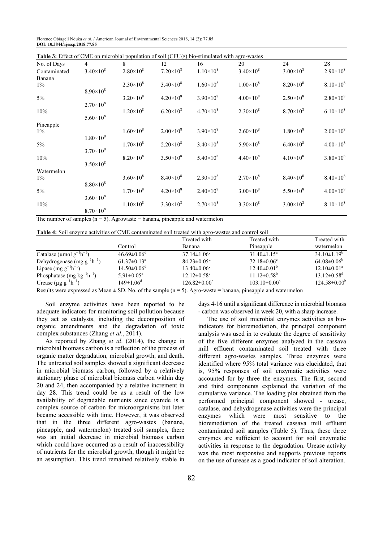Florence Obiageli Nduka et al. / American Journal of Environmental Sciences 2018, 14 (2): 77.85 DOI: 10.3844/ajessp.2018.77.85

| No. of Days  | $\overline{4}$     | 8                  | 12                 | 16                 | 20                 | 24                 | 28                 |
|--------------|--------------------|--------------------|--------------------|--------------------|--------------------|--------------------|--------------------|
| Contaminated | $3.40\times10^{8}$ | $2.80\times10^{8}$ | $7.20 \times 10^8$ | $1.10\times10^{8}$ | $3.40\times10^{8}$ | $3.00 \times 10^8$ | $2.90\times10^{8}$ |
| Banana       |                    |                    |                    |                    |                    |                    |                    |
| $1\%$        |                    | $2.30\times10^{8}$ | $3.40\times10^{8}$ | $1.60\times10^{8}$ | $1.00\times10^{8}$ | $8.20\times10^{8}$ | $8.10\times10^{8}$ |
|              | $8.90\times10^8$   |                    |                    |                    |                    |                    |                    |
| $5\%$        |                    | $3.20\times10^{8}$ | $4.20\times10^{8}$ | $3.90\times10^{8}$ | $4.00\times10^{8}$ | $2.50\times10^{8}$ | $2.80\times10^{8}$ |
|              | $2.70\times10^{8}$ |                    |                    |                    |                    |                    |                    |
| 10%          |                    | $1.20\times10^{8}$ | $6.20\times10^{8}$ | $4.70\times10^{8}$ | $2.30\times10^{8}$ | $8.70\times10^{8}$ | $6.10\times10^{8}$ |
|              | $5.60\times10^{8}$ |                    |                    |                    |                    |                    |                    |
| Pineapple    |                    |                    |                    |                    |                    |                    |                    |
| $1\%$        |                    | $1.60\times10^{8}$ | $2.00 \times 10^8$ | $3.90\times10^{8}$ | $2.60\times10^{8}$ | $1.80\times10^{8}$ | $2.00\times10^{8}$ |
|              | $1.80\times10^{8}$ |                    |                    |                    |                    |                    |                    |
| $5\%$        |                    | $1.70\times10^{8}$ | $2.20\times10^{8}$ | $3.40\times10^{8}$ | $5.90\times10^{8}$ | $6.40\times10^{8}$ | $4.00\times10^{8}$ |
|              | $3.70\times10^{8}$ |                    |                    |                    |                    |                    |                    |
| 10%          |                    | $8.20\times10^{8}$ | $3.50\times10^{8}$ | $5.40\times10^{8}$ | $4.40\times10^{8}$ | $4.10\times10^{8}$ | $3.80\times10^{8}$ |
|              | $3.50\times10^{8}$ |                    |                    |                    |                    |                    |                    |
| Watermelon   |                    |                    |                    |                    |                    |                    |                    |
| $1\%$        |                    | $3.60\times10^{8}$ | $8.40\times10^{8}$ | $2.30\times10^{8}$ | $2.70\times10^{8}$ | $8.40\times10^{8}$ | $8.40\times10^{8}$ |
|              | $8.80\times10^8$   |                    |                    |                    |                    |                    |                    |
| $5\%$        |                    | $1.70\times10^{8}$ | $4.20\times10^{8}$ | $2.40\times10^{8}$ | $3.00\times10^{8}$ | $5.50\times10^{8}$ | $4.00\times10^{8}$ |
|              | $3.60\times10^{8}$ |                    |                    |                    |                    |                    |                    |
| 10%          |                    | $1.10\times10^{8}$ | $3.30\times10^{8}$ | $2.70\times10^{8}$ | $3.30\times10^{8}$ | $3.00\times10^{8}$ | $8.10\times10^{8}$ |
|              | $8.70\times10^{8}$ |                    |                    |                    |                    |                    |                    |

Table 3: Effect of CME on microbial population of soil (CFU/g) bio-stimulated with agro-wastes

The number of samples ( $n = 5$ ). Agrowaste = banana, pineapple and watermelon

| <b>Table 4:</b> Soil enzyme activities of CME contaminated soil treated with agro-wastes and control soil |  |
|-----------------------------------------------------------------------------------------------------------|--|
|-----------------------------------------------------------------------------------------------------------|--|

|                                       |                               | Treated with                  | Treated with                  | Treated with                  |
|---------------------------------------|-------------------------------|-------------------------------|-------------------------------|-------------------------------|
|                                       | Control                       | <b>Banana</b>                 | Pineapple                     | watermelon                    |
| Catalase ( $\mu$ mol $g^{-1}h^{-1}$ ) | $46.69 \pm 0.06$ <sup>a</sup> | $37.14 \pm 1.06^c$            | $31.40 \pm 1.15^a$            | $34.10\pm1.19^b$              |
| Dehydrogenase (mg $g^{-1}h^{-1}$ )    | $61.37 \pm 0.13^a$            | $84.23 \pm 0.05$ <sup>d</sup> | $72.18 \pm 0.06$ <sup>c</sup> | $64.08\pm0.06^b$              |
| Lipase (mg $g^{-1}h^{-1}$ )           | $14.50 \pm 0.06^{\circ}$      | $13.40 \pm 0.06$ <sup>c</sup> | $12.40\pm0.01^{b}$            | $12.10\pm0.01^a$              |
| Phosphatase (mg $kg^{-1}h^{-1}$ )     | $5.91 \pm 0.05^{\text{a}}$    | $12.12 \pm 0.58$ <sup>c</sup> | $11.12 \pm 0.58^{\circ}$      | $13.12 \pm 0.58$ <sup>d</sup> |
| Urease $(\mu g g^{-1}h^{-1})$         | $149 \pm 1.06$ <sup>d</sup>   | $126.82 \pm 0.00^{\circ}$     | $103.10\pm0.00^a$             | $124.58 \pm 0.00^b$           |

Results were expressed as Mean  $\pm$  SD. No. of the sample (n = 5). Agro-waste = banana, pineapple and watermelon

Soil enzyme activities have been reported to be adequate indicators for monitoring soil pollution because they act as catalysts, including the decomposition of organic amendments and the degradation of toxic complex substances (Zhang et al., 2014).

As reported by Zhang et al. (2014), the change in microbial biomass carbon is a reflection of the process of organic matter degradation, microbial growth, and death. The untreated soil samples showed a significant decrease in microbial biomass carbon, followed by a relatively stationary phase of microbial biomass carbon within day 20 and 24, then accompanied by a relative increment in day 28. This trend could be as a result of the low availability of degradable nutrients since cyanide is a complex source of carbon for microorganisms but later became accessible with time. However, it was observed that in the three different agro-wastes (banana, pineapple, and watermelon) treated soil samples, there was an initial decrease in microbial biomass carbon which could have occurred as a result of inaccessibility of nutrients for the microbial growth, though it might be an assumption. This trend remained relatively stable in

days 4-16 until a significant difference in microbial biomass - carbon was observed in week 20, with a sharp increase.

The use of soil microbial enzymes activities as bioindicators for bioremediation, the principal component analysis was used in to evaluate the degree of sensitivity of the five different enzymes analyzed in the cassava mill effluent contaminated soil treated with three different agro-wastes samples. Three enzymes were identified where 95% total variance was elucidated, that is, 95% responses of soil enzymatic activities were accounted for by three the enzymes. The first, second and third components explained the variation of the cumulative variance. The loading plot obtained from the performed principal component showed - urease, catalase, and dehydrogenase activities were the principal enzymes which were most sensitive to the bioremediation of the treated cassava mill effluent contaminated soil samples (Table 5). Thus, these three enzymes are sufficient to account for soil enzymatic activities in response to the degradation. Urease activity was the most responsive and supports previous reports on the use of urease as a good indicator of soil alteration.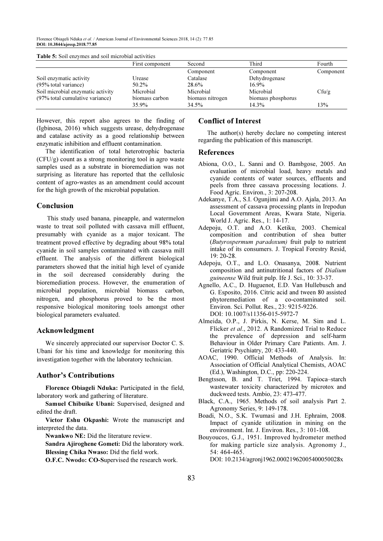Florence Obiageli Nduka et al. / American Journal of Environmental Sciences 2018, 14 (2): 77.85 DOI: 10.3844/ajessp.2018.77.85

|                                   | First component | Second           | Third              | Fourth            |
|-----------------------------------|-----------------|------------------|--------------------|-------------------|
|                                   |                 | Component        | Component          | Component         |
| Soil enzymatic activity           | Urease          | Catalase         | Dehydrogenase      |                   |
| (95% total variance)              | 50.2%           | 28.6%            | $16.9\%$           |                   |
| Soil microbial enzymatic activity | Microbial       | Microbial        | Microbial          | Cf <sub>u/g</sub> |
| (97% total cumulative variance)   | biomass carbon  | biomass nitrogen | biomass phosphorus |                   |
|                                   | 35.9%           | 34.5%            | 14.3%              | 13%               |

However, this report also agrees to the finding of (Igbinosa, 2016) which suggests urease, dehydrogenase and catalase activity as a good relationship between enzymatic inhibition and effluent contamination.

The identification of total heterotrophic bacteria (CFU/g) count as a strong monitoring tool in agro waste samples used as a substrate in bioremediation was not surprising as literature has reported that the cellulosic content of agro-wastes as an amendment could account for the high growth of the microbial population.

## Conclusion

 This study used banana, pineapple, and watermelon waste to treat soil polluted with cassava mill effluent, presumably with cyanide as a major toxicant. The treatment proved effective by degrading about 98% total cyanide in soil samples contaminated with cassava mill effluent. The analysis of the different biological parameters showed that the initial high level of cyanide in the soil decreased considerably during the bioremediation process. However, the enumeration of microbial population, microbial biomass carbon, nitrogen, and phosphorus proved to be the most responsive biological monitoring tools amongst other biological parameters evaluated.

#### Acknowledgment

We sincerely appreciated our supervisor Doctor C. S. Ubani for his time and knowledge for monitoring this investigation together with the laboratory technician.

# Author's Contributions

Florence Obiageli Nduka: Participated in the field, laboratory work and gathering of literature.

Samuel Chibuike Ubani: Supervised, designed and edited the draft.

Victor Eshu Okpashi: Wrote the manuscript and interpreted the data.

Nwankwo NE: Did the literature review.

Sandra Ajiroghene Gometi: Did the laboratory work. Blessing Chika Nwaso: Did the field work.

O.F.C. Nwodo: CO-Supervised the research work.

#### Conflict of Interest

The author(s) hereby declare no competing interest regarding the publication of this manuscript.

#### References

- Abiona, O.O., L. Sanni and O. Bambgose, 2005. An evaluation of microbial load, heavy metals and cyanide contents of water sources, effluents and peels from three cassava processing locations. J. Food Agric. Environ., 3: 207-208.
- Adekanye, T.A., S.I. Ogunjimi and A.O. Ajala, 2013. An assessment of cassava processing plants in Irepodun Local Government Areas, Kwara State, Nigeria. World J. Agric. Res., 1: 14-17.
- Adepoju, O.T. and A.O. Ketiku, 2003. Chemical composition and contribution of shea butter (Butyrospermum paradoxum) fruit pulp to nutrient intake of its consumers. J. Tropical Forestry Resid, 19: 20-28.
- Adepoju, O.T., and L.O. Onasanya, 2008. Nutrient composition and antinutritional factors of Dialium guineense Wild fruit pulp. Ife J. Sci., 10: 33-37.
- Agnello, A.C., D. Huguenot, E.D. Van Hullebusch and G. Esposito, 2016. Citric acid and tween 80 assisted phytoremediation of a co-contaminated soil. Environ. Sci. Pollut. Res., 23: 9215-9226. DOI: 10.1007/s11356-015-5972-7
- Almeida, O.P., J. Pirkis, N. Kerse, M. Sim and L. Flicker et al., 2012. A Randomized Trial to Reduce the prevalence of depression and self-harm Behaviour in Older Primary Care Patients. Am. J. Geriatric Psychiatry, 20: 433-440.
- AOAC, 1990. Official Methods of Analysis. In: Association of Official Analytical Chemists, AOAC (Ed.), Washington, D.C., pp: 220-224.
- Bengtsson, B. and T. Triet, 1994. Tapioca–starch wastewater toxicity characterized by microtox and duckweed tests. Ambio, 23: 473-477.
- Black, C.A., 1965. Methods of soil analysis Part 2. Agronomy Series, 9: 149-178.
- Boadi, N.O., S.K. Twumasi and J.H. Ephraim, 2008. Impact of cyanide utilization in mining on the environment. Int. J. Environ. Res., 3: 101-108.
- Bouyoucos, G.J., 1951. Improved hydrometer method for making particle size analysis. Agronomy J., 54: 464-465.

DOI: 10.2134/agronj1962.00021962005400050028x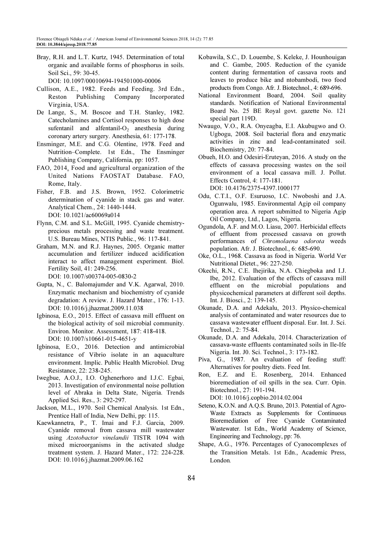- Bray, R.H. and L.T. Kurtz, 1945. Determination of total organic and available forms of phosphorus in soils. Soil Sci., 59: 30-45. DOI: 10.1097/00010694-194501000-00006
- Cullison, A.E., 1982. Feeds and Feeding. 3rd Edn., Reston Publishing Company Incorporated Virginia, USA.
- De Lange, S., M. Boscoe and T.H. Stanley, 1982. Catecholamines and Cortisol responses to high dose sufentanil and alfentanil- $O_2$  anesthesia during coronary artery surgery. Anesthesia, 61: 177-178.
- Ensminger, M.E. and C.G. Olentine, 1978. Feed and Nutrition–Complete. 1st Edn., The Ensminger Publishing Company, California, pp: 1057.
- FAO, 2014. Food and agricultural organization of the United Nations FAOSTAT Database. FAO, Rome, Italy.
- Fisher, F.B. and J.S. Brown, 1952. Colorimetric determination of cyanide in stack gas and water. Analytical Chem., 24: 1440-1444. DOI: 10.1021/ac60069a014
- Flynn, C.M. and S.L. McGill, 1995. Cyanide chemistryprecious metals processing and waste treatment. U.S. Bureau Mines, NTIS Public., 96: 117-841.
- Graham, M.N. and R.J. Haynes, 2005. Organic matter accumulation and fertilizer induced acidification interact to affect management experiment. Biol. Fertility Soil, 41: 249-256. DOI: 10.1007/s00374-005-0830-2
- Gupta, N., C. Balomajumder and V.K. Agarwal, 2010. Enzymatic mechanism and biochemistry of cyanide degradation: A review. J. Hazard Mater., 176: 1-13. DOI: 10.1016/j.jhazmat.2009.11.038
- Igbinosa, E.O., 2015. Effect of cassava mill effluent on the biological activity of soil microbial community. Environ. Monitor. Assessment, 187: 418-418. DOI: 10.1007/s10661-015-4651-y
- Igbinosa, E.O., 2016. Detection and antimicrobial resistance of Vibrio isolate in an aquaculture environment. Implic. Public Health Microbiol. Drug Resistance, 22: 238-245.
- Iwegbue, A.O.J., I.O. Oghenerhoro and I.J.C. Egbai, 2013. Investigation of environmental noise pollution level of Abraka in Delta State, Nigeria. Trends Applied Sci. Res., 3: 292-297.
- Jackson, M.L., 1970. Soil Chemical Analysis. 1st Edn., Prentice Hall of India, New Delhi, pp: 115.
- Kaewkannetra, P., T. Imai and F.J. Garcia, 2009. Cyanide removal from cassava mill wastewater using Azotobactor vinelandii TISTR 1094 with mixed microorganisms in the activated sludge treatment system. J. Hazard Mater., 172: 224-228. DOI: 10.1016/j.jhazmat.2009.06.162
- Kobawila, S.C., D. Louembe, S. Keleke, J. Hounhouigan and C. Gambe, 2005. Reduction of the cyanide content during fermentation of cassava roots and leaves to produce bike and ntobambodi, two food products from Congo. Afr. J. Biotechnol., 4: 689-696.
- National Environment Board, 2004. Soil quality standards. Notification of National Environmental Board No. 25 BE Royal govt. gazette No. 121 special part 119D.
- Nwaugo, V.O., R.A. Onyeagba, E.I. Akubugwo and O. Ugbogu, 2008. Soil bacterial flora and enzymatic activities in zinc and lead-contaminated soil. Biochemistry, 20: 77-84.
- Obueh, H.O. and Odesiri-Eruteyan, 2016. A study on the effects of cassava processing wastes on the soil environment of a local cassava mill. J. Pollut. Effects Control, 4: 177-181. DOI: 10.4176/2375-4397.1000177
- Odu, C.T.I., O.F. Esuruoso, I.C. Nwoboshi and J.A. Ogunwalu, 1985. Environmental Agip oil company
- operation area. A report submitted to Nigeria Agip Oil Company, Ltd., Lagos, Nigeria. Ogundola, A.F. and M.O. Liasu, 2007. Herbicidal effects
- of effluent from processed cassava on growth performances of Chromolaena odorota weeds population. Afr. J. Biotechnol., 6: 685-690.
- Oke, O.L., 1968. Cassava as food in Nigeria. World Ver Nutritional Dietet., 96: 227-250.
- Okechi, R.N., C.E. Ihejirika, N.A. Chiegboka and I.J. Ibe, 2012. Evaluation of the effects of cassava mill effluent on the microbial populations and physicochemical parameters at different soil depths. Int. J. Biosci., 2: 139-145.
- Okunade, D.A. and Adekalu, 2013. Physico-chemical analysis of contaminated and water resources due to cassava wastewater effluent disposal. Eur. Int. J. Sci. Technol., 2: 75-84.
- Okunade, D.A. and Adekalu, 2014. Characterization of cassava-waste effluents contaminated soils in Ile-Ife Nigeria. Int. J0. Sci. Technol., 3: 173-182.
- Piva, G., 1987. An evaluation of feeding stuff: Alternatives for poultry diets. Feed Int.
- Ron, E.Z. and E. Rosenberg, 2014. Enhanced bioremediation of oil spills in the sea. Curr. Opin. Biotechnol., 27: 191-194. DOI: 10.1016/j.copbio.2014.02.004
- Seteno, K.O.N. and A.Q.S. Bruno, 2013. Potential of Agro-Waste Extracts as Supplements for Continuous Bioremediation of Free Cyanide Contaminated Wastewater. 1st Edn., World Academy of Science, Engineering and Technology, pp: 76.
- Shape, A.G., 1976. Percentages of Cyanocomplexes of the Transition Metals. 1st Edn., Academic Press, London.